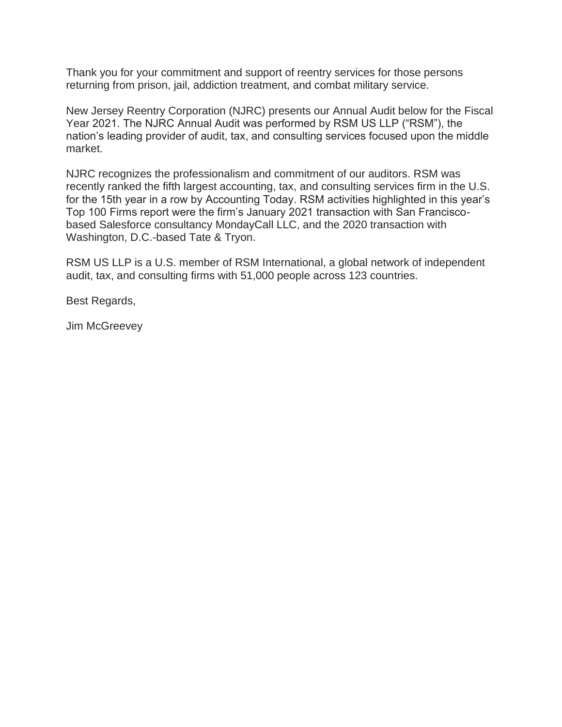Thank you for your commitment and support of reentry services for those persons returning from prison, jail, addiction treatment, and combat military service.

New Jersey Reentry Corporation (NJRC) presents our Annual Audit below for the Fiscal Year 2021. The NJRC Annual Audit was performed by RSM US LLP ("RSM"), the nation's leading provider of audit, tax, and consulting services focused upon the middle market.

NJRC recognizes the professionalism and commitment of our auditors. RSM was recently ranked the fifth largest accounting, tax, and consulting services firm in the U.S. for the 15th year in a row by Accounting Today. RSM activities highlighted in this year's Top 100 Firms report were the firm's January 2021 transaction with San Franciscobased Salesforce consultancy MondayCall LLC, and the 2020 transaction with Washington, D.C.-based Tate & Tryon.

RSM US LLP is a U.S. member of RSM International, a global network of independent audit, tax, and consulting firms with 51,000 people across 123 countries.

Best Regards,

Jim McGreevey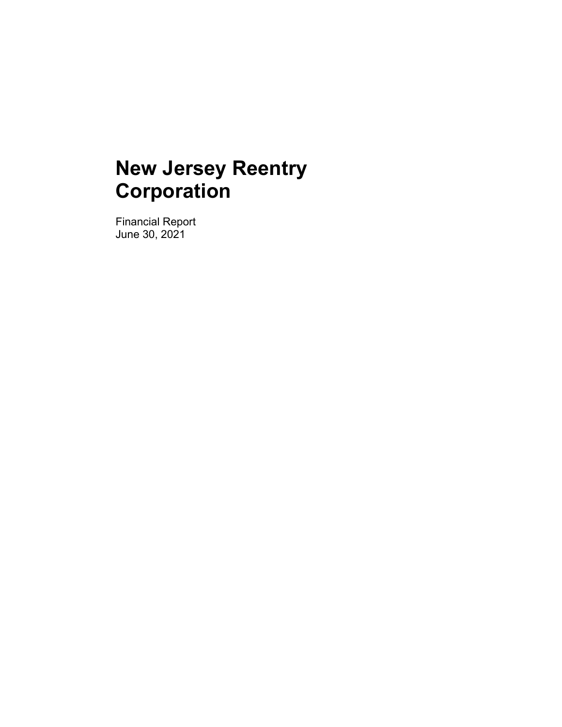Financial Report June 30, 2021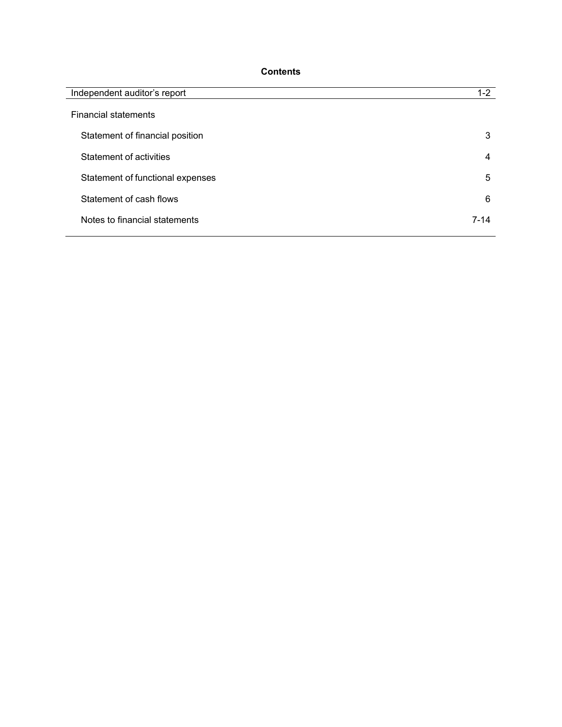## **Contents**

| Independent auditor's report     | $1 - 2$  |
|----------------------------------|----------|
| <b>Financial statements</b>      |          |
| Statement of financial position  | 3        |
| Statement of activities          | 4        |
| Statement of functional expenses | 5        |
| Statement of cash flows          | 6        |
| Notes to financial statements    | $7 - 14$ |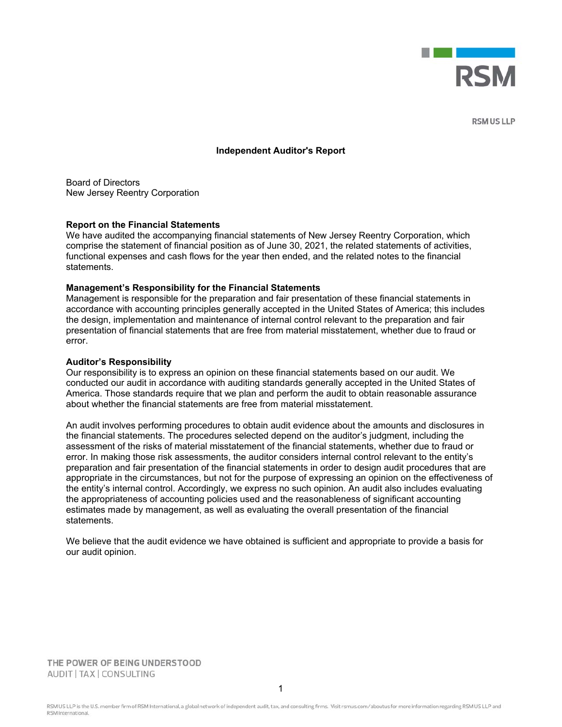

**RSM US LLP** 

#### **Independent Auditor's Report**

Board of Directors New Jersey Reentry Corporation

#### **Report on the Financial Statements**

We have audited the accompanying financial statements of New Jersey Reentry Corporation, which comprise the statement of financial position as of June 30, 2021, the related statements of activities, functional expenses and cash flows for the year then ended, and the related notes to the financial statements.

#### **Management's Responsibility for the Financial Statements**

Management is responsible for the preparation and fair presentation of these financial statements in accordance with accounting principles generally accepted in the United States of America; this includes the design, implementation and maintenance of internal control relevant to the preparation and fair presentation of financial statements that are free from material misstatement, whether due to fraud or error.

#### **Auditor's Responsibility**

Our responsibility is to express an opinion on these financial statements based on our audit. We conducted our audit in accordance with auditing standards generally accepted in the United States of America. Those standards require that we plan and perform the audit to obtain reasonable assurance about whether the financial statements are free from material misstatement.

An audit involves performing procedures to obtain audit evidence about the amounts and disclosures in the financial statements. The procedures selected depend on the auditor's judgment, including the assessment of the risks of material misstatement of the financial statements, whether due to fraud or error. In making those risk assessments, the auditor considers internal control relevant to the entity's preparation and fair presentation of the financial statements in order to design audit procedures that are appropriate in the circumstances, but not for the purpose of expressing an opinion on the effectiveness of the entity's internal control. Accordingly, we express no such opinion. An audit also includes evaluating the appropriateness of accounting policies used and the reasonableness of significant accounting estimates made by management, as well as evaluating the overall presentation of the financial statements.

We believe that the audit evidence we have obtained is sufficient and appropriate to provide a basis for our audit opinion.

THE POWER OF BEING UNDERSTOOD AUDIT | TAX | CONSULTING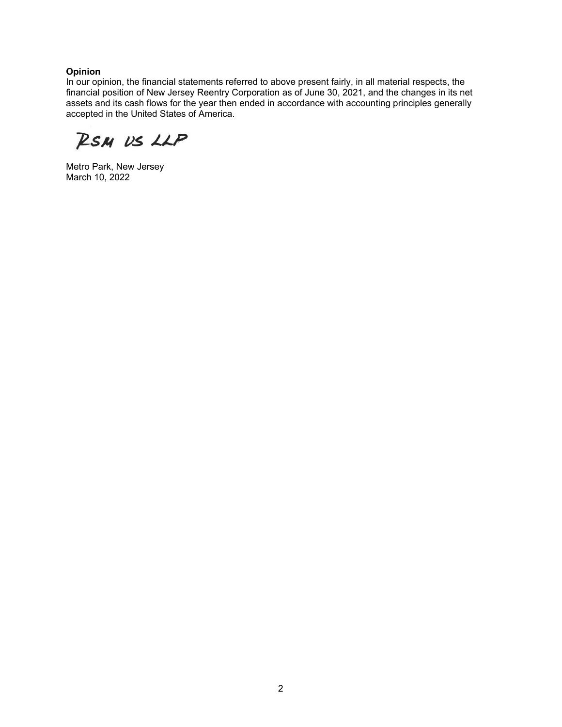#### **Opinion**

In our opinion, the financial statements referred to above present fairly, in all material respects, the financial position of New Jersey Reentry Corporation as of June 30, 2021, and the changes in its net assets and its cash flows for the year then ended in accordance with accounting principles generally accepted in the United States of America.

RSM US LLP

Metro Park, New Jersey March 10, 2022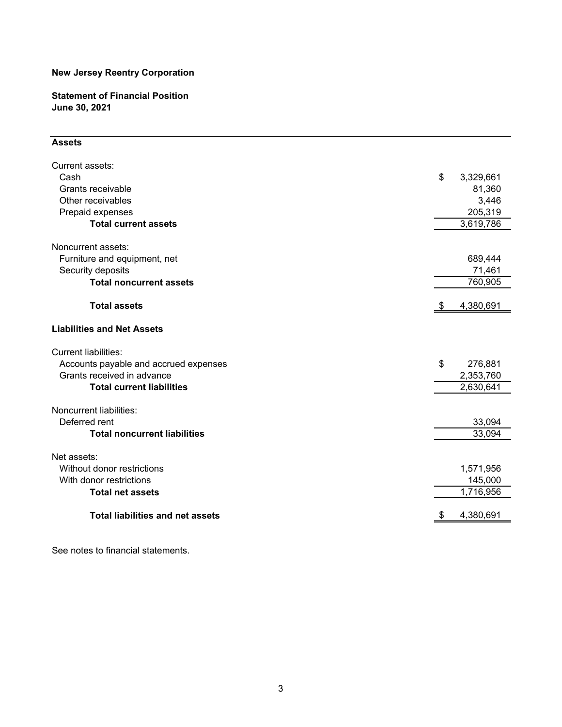**Statement of Financial Position June 30, 2021**

## **Assets**

| Current assets:                         |    |           |
|-----------------------------------------|----|-----------|
| Cash                                    | \$ | 3,329,661 |
| Grants receivable                       |    | 81,360    |
| Other receivables                       |    | 3,446     |
| Prepaid expenses                        |    | 205,319   |
| <b>Total current assets</b>             |    | 3,619,786 |
| Noncurrent assets:                      |    |           |
| Furniture and equipment, net            |    | 689,444   |
| Security deposits                       |    | 71,461    |
| <b>Total noncurrent assets</b>          |    | 760,905   |
| <b>Total assets</b>                     | S. | 4,380,691 |
| <b>Liabilities and Net Assets</b>       |    |           |
| <b>Current liabilities:</b>             |    |           |
| Accounts payable and accrued expenses   | \$ | 276,881   |
| Grants received in advance              |    | 2,353,760 |
| <b>Total current liabilities</b>        |    | 2,630,641 |
| Noncurrent liabilities:                 |    |           |
| Deferred rent                           |    | 33,094    |
| <b>Total noncurrent liabilities</b>     |    | 33,094    |
| Net assets:                             |    |           |
| Without donor restrictions              |    | 1,571,956 |
| With donor restrictions                 |    | 145,000   |
| <b>Total net assets</b>                 |    | 1,716,956 |
|                                         |    |           |
| <b>Total liabilities and net assets</b> |    | 4,380,691 |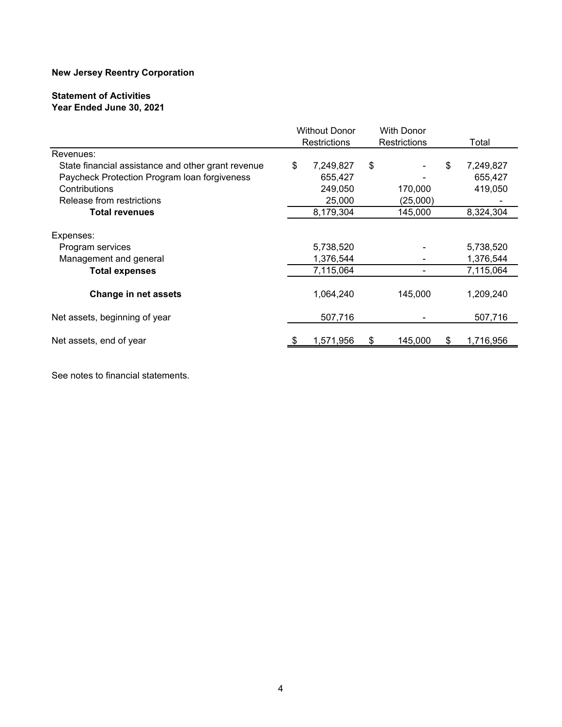## **Statement of Activities Year Ended June 30, 2021**

|                                                    | <b>Without Donor</b><br>Restrictions | <b>With Donor</b><br><b>Restrictions</b> |    | Total     |
|----------------------------------------------------|--------------------------------------|------------------------------------------|----|-----------|
| Revenues:                                          |                                      |                                          |    |           |
| State financial assistance and other grant revenue | \$<br>7,249,827                      | \$                                       | \$ | 7,249,827 |
| Paycheck Protection Program loan forgiveness       | 655,427                              |                                          |    | 655,427   |
| Contributions                                      | 249,050                              | 170,000                                  |    | 419,050   |
| Release from restrictions                          | 25,000                               | (25,000)                                 |    |           |
| <b>Total revenues</b>                              | 8,179,304                            | 145,000                                  |    | 8,324,304 |
| Expenses:                                          |                                      |                                          |    |           |
| Program services                                   | 5,738,520                            |                                          |    | 5,738,520 |
| Management and general                             | 1,376,544                            |                                          |    | 1,376,544 |
| <b>Total expenses</b>                              | 7,115,064                            |                                          |    | 7,115,064 |
| Change in net assets                               | 1,064,240                            | 145,000                                  |    | 1,209,240 |
| Net assets, beginning of year                      | 507,716                              |                                          |    | 507,716   |
| Net assets, end of year                            | 1,571,956                            | 145,000                                  | Ж  | 1,716,956 |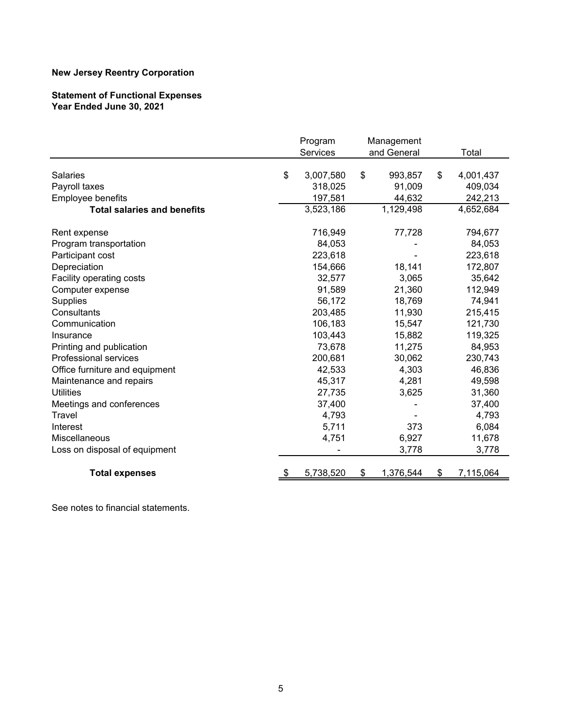## **Statement of Functional Expenses Year Ended June 30, 2021**

|                                    |    | Program   | Management      |                 |
|------------------------------------|----|-----------|-----------------|-----------------|
|                                    |    | Services  | and General     | Total           |
|                                    |    |           |                 |                 |
| <b>Salaries</b>                    | \$ | 3,007,580 | \$<br>993,857   | \$<br>4,001,437 |
| Payroll taxes                      |    | 318,025   | 91,009          | 409,034         |
| Employee benefits                  |    | 197,581   | 44,632          | 242,213         |
| <b>Total salaries and benefits</b> |    | 3,523,186 | 1,129,498       | 4,652,684       |
| Rent expense                       |    | 716,949   | 77,728          | 794,677         |
| Program transportation             |    | 84,053    |                 | 84,053          |
| Participant cost                   |    | 223,618   |                 | 223,618         |
| Depreciation                       |    | 154,666   | 18,141          | 172,807         |
| Facility operating costs           |    | 32,577    | 3,065           | 35,642          |
| Computer expense                   |    | 91,589    | 21,360          | 112,949         |
| <b>Supplies</b>                    |    | 56,172    | 18,769          | 74,941          |
| Consultants                        |    | 203,485   | 11,930          | 215,415         |
| Communication                      |    | 106,183   | 15,547          | 121,730         |
| Insurance                          |    | 103,443   | 15,882          | 119,325         |
| Printing and publication           |    | 73,678    | 11,275          | 84,953          |
| <b>Professional services</b>       |    | 200,681   | 30,062          | 230,743         |
| Office furniture and equipment     |    | 42,533    | 4,303           | 46,836          |
| Maintenance and repairs            |    | 45,317    | 4,281           | 49,598          |
| <b>Utilities</b>                   |    | 27,735    | 3,625           | 31,360          |
| Meetings and conferences           |    | 37,400    |                 | 37,400          |
| Travel                             |    | 4,793     |                 | 4,793           |
| Interest                           |    | 5,711     | 373             | 6,084           |
| Miscellaneous                      |    | 4,751     | 6,927           | 11,678          |
| Loss on disposal of equipment      |    |           | 3,778           | 3,778           |
| <b>Total expenses</b>              | S. | 5,738,520 | \$<br>1,376,544 | \$<br>7,115,064 |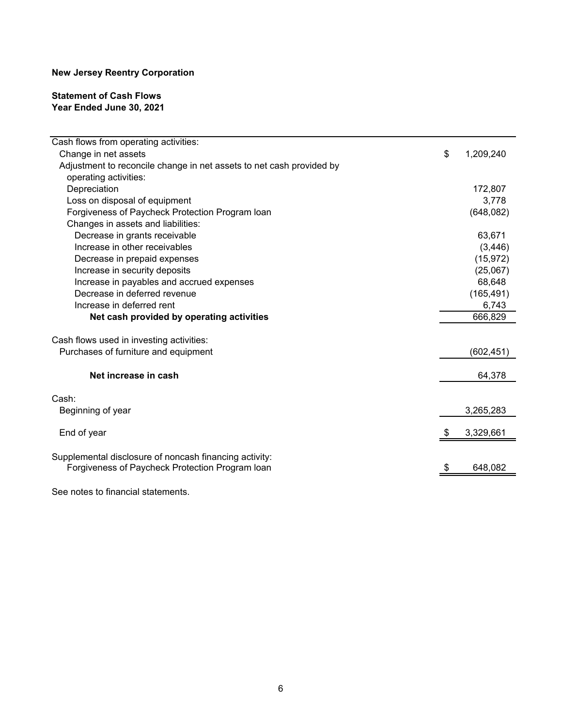## **Statement of Cash Flows Year Ended June 30, 2021**

| Cash flows from operating activities:                                |                 |
|----------------------------------------------------------------------|-----------------|
| Change in net assets                                                 | \$<br>1,209,240 |
| Adjustment to reconcile change in net assets to net cash provided by |                 |
| operating activities:                                                |                 |
| Depreciation                                                         | 172,807         |
| Loss on disposal of equipment                                        | 3,778           |
| Forgiveness of Paycheck Protection Program Ioan                      | (648,082)       |
| Changes in assets and liabilities:                                   |                 |
| Decrease in grants receivable                                        | 63,671          |
| Increase in other receivables                                        | (3, 446)        |
| Decrease in prepaid expenses                                         | (15, 972)       |
| Increase in security deposits                                        | (25,067)        |
| Increase in payables and accrued expenses                            | 68,648          |
| Decrease in deferred revenue                                         | (165, 491)      |
| Increase in deferred rent                                            | 6,743           |
| Net cash provided by operating activities                            | 666,829         |
| Cash flows used in investing activities:                             |                 |
| Purchases of furniture and equipment                                 | (602, 451)      |
| Net increase in cash                                                 | 64,378          |
|                                                                      |                 |
| Cash:                                                                |                 |
| Beginning of year                                                    | 3,265,283       |
| End of year                                                          | 3,329,661       |
|                                                                      |                 |
| Supplemental disclosure of noncash financing activity:               |                 |
| Forgiveness of Paycheck Protection Program Ioan                      | 648,082         |
|                                                                      |                 |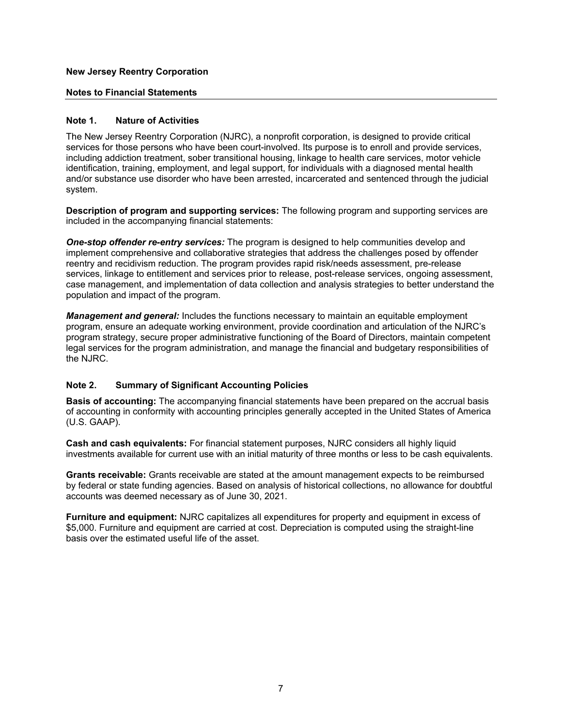#### **Notes to Financial Statements**

#### **Note 1. Nature of Activities**

The New Jersey Reentry Corporation (NJRC), a nonprofit corporation, is designed to provide critical services for those persons who have been court-involved. Its purpose is to enroll and provide services, including addiction treatment, sober transitional housing, linkage to health care services, motor vehicle identification, training, employment, and legal support, for individuals with a diagnosed mental health and/or substance use disorder who have been arrested, incarcerated and sentenced through the judicial system.

**Description of program and supporting services:** The following program and supporting services are included in the accompanying financial statements:

*One-stop offender re-entry services:* The program is designed to help communities develop and implement comprehensive and collaborative strategies that address the challenges posed by offender reentry and recidivism reduction. The program provides rapid risk/needs assessment, pre-release services, linkage to entitlement and services prior to release, post-release services, ongoing assessment, case management, and implementation of data collection and analysis strategies to better understand the population and impact of the program.

*Management and general:* Includes the functions necessary to maintain an equitable employment program, ensure an adequate working environment, provide coordination and articulation of the NJRC's program strategy, secure proper administrative functioning of the Board of Directors, maintain competent legal services for the program administration, and manage the financial and budgetary responsibilities of the NJRC.

## **Note 2. Summary of Significant Accounting Policies**

**Basis of accounting:** The accompanying financial statements have been prepared on the accrual basis of accounting in conformity with accounting principles generally accepted in the United States of America (U.S. GAAP).

**Cash and cash equivalents:** For financial statement purposes, NJRC considers all highly liquid investments available for current use with an initial maturity of three months or less to be cash equivalents.

**Grants receivable:** Grants receivable are stated at the amount management expects to be reimbursed by federal or state funding agencies. Based on analysis of historical collections, no allowance for doubtful accounts was deemed necessary as of June 30, 2021.

**Furniture and equipment:** NJRC capitalizes all expenditures for property and equipment in excess of \$5,000. Furniture and equipment are carried at cost. Depreciation is computed using the straight-line basis over the estimated useful life of the asset.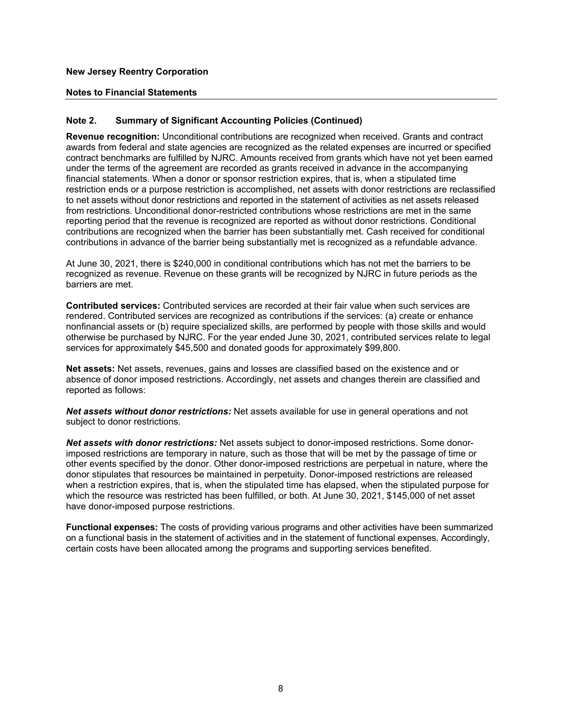#### **Notes to Financial Statements**

#### **Note 2. Summary of Significant Accounting Policies (Continued)**

**Revenue recognition:** Unconditional contributions are recognized when received. Grants and contract awards from federal and state agencies are recognized as the related expenses are incurred or specified contract benchmarks are fulfilled by NJRC. Amounts received from grants which have not yet been earned under the terms of the agreement are recorded as grants received in advance in the accompanying financial statements. When a donor or sponsor restriction expires, that is, when a stipulated time restriction ends or a purpose restriction is accomplished, net assets with donor restrictions are reclassified to net assets without donor restrictions and reported in the statement of activities as net assets released from restrictions. Unconditional donor-restricted contributions whose restrictions are met in the same reporting period that the revenue is recognized are reported as without donor restrictions. Conditional contributions are recognized when the barrier has been substantially met. Cash received for conditional contributions in advance of the barrier being substantially met is recognized as a refundable advance.

At June 30, 2021, there is \$240,000 in conditional contributions which has not met the barriers to be recognized as revenue. Revenue on these grants will be recognized by NJRC in future periods as the barriers are met.

**Contributed services:** Contributed services are recorded at their fair value when such services are rendered. Contributed services are recognized as contributions if the services: (a) create or enhance nonfinancial assets or (b) require specialized skills, are performed by people with those skills and would otherwise be purchased by NJRC. For the year ended June 30, 2021, contributed services relate to legal services for approximately \$45,500 and donated goods for approximately \$99,800.

**Net assets:** Net assets, revenues, gains and losses are classified based on the existence and or absence of donor imposed restrictions. Accordingly, net assets and changes therein are classified and reported as follows:

*Net assets without donor restrictions:* Net assets available for use in general operations and not subject to donor restrictions.

*Net assets with donor restrictions:* Net assets subject to donor-imposed restrictions. Some donorimposed restrictions are temporary in nature, such as those that will be met by the passage of time or other events specified by the donor. Other donor-imposed restrictions are perpetual in nature, where the donor stipulates that resources be maintained in perpetuity. Donor-imposed restrictions are released when a restriction expires, that is, when the stipulated time has elapsed, when the stipulated purpose for which the resource was restricted has been fulfilled, or both. At June 30, 2021, \$145,000 of net asset have donor-imposed purpose restrictions.

**Functional expenses:** The costs of providing various programs and other activities have been summarized on a functional basis in the statement of activities and in the statement of functional expenses. Accordingly, certain costs have been allocated among the programs and supporting services benefited.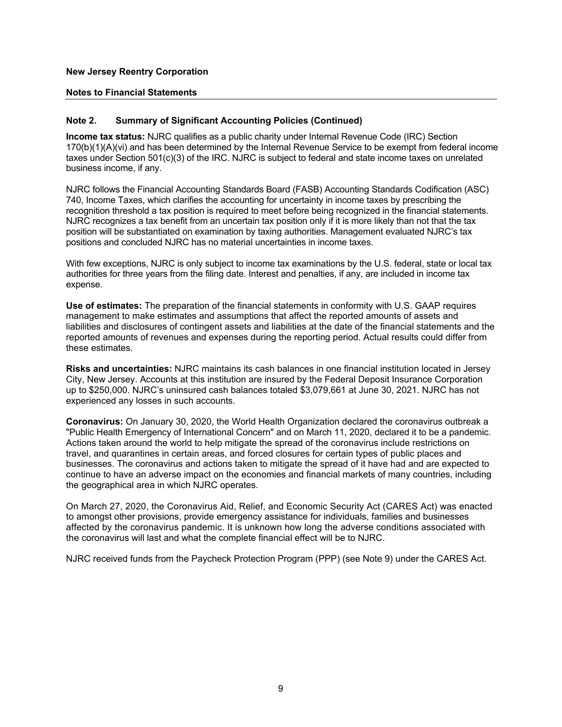#### **Notes to Financial Statements**

#### **Note 2. Summary of Significant Accounting Policies (Continued)**

**Income tax status:** NJRC qualifies as a public charity under Internal Revenue Code (IRC) Section 170(b)(1)(A)(vi) and has been determined by the Internal Revenue Service to be exempt from federal income taxes under Section 501(c)(3) of the IRC. NJRC is subject to federal and state income taxes on unrelated business income, if any.

NJRC follows the Financial Accounting Standards Board (FASB) Accounting Standards Codification (ASC) 740, Income Taxes, which clarifies the accounting for uncertainty in income taxes by prescribing the recognition threshold a tax position is required to meet before being recognized in the financial statements. NJRC recognizes a tax benefit from an uncertain tax position only if it is more likely than not that the tax position will be substantiated on examination by taxing authorities. Management evaluated NJRC's tax positions and concluded NJRC has no material uncertainties in income taxes.

With few exceptions, NJRC is only subject to income tax examinations by the U.S. federal, state or local tax authorities for three years from the filing date. Interest and penalties, if any, are included in income tax expense.

**Use of estimates:** The preparation of the financial statements in conformity with U.S. GAAP requires management to make estimates and assumptions that affect the reported amounts of assets and liabilities and disclosures of contingent assets and liabilities at the date of the financial statements and the reported amounts of revenues and expenses during the reporting period. Actual results could differ from these estimates.

**Risks and uncertainties:** NJRC maintains its cash balances in one financial institution located in Jersey City, New Jersey. Accounts at this institution are insured by the Federal Deposit Insurance Corporation up to \$250,000. NJRC's uninsured cash balances totaled \$3,079,661 at June 30, 2021. NJRC has not experienced any losses in such accounts.

**Coronavirus:** On January 30, 2020, the World Health Organization declared the coronavirus outbreak a "Public Health Emergency of International Concern" and on March 11, 2020, declared it to be a pandemic. Actions taken around the world to help mitigate the spread of the coronavirus include restrictions on travel, and quarantines in certain areas, and forced closures for certain types of public places and businesses. The coronavirus and actions taken to mitigate the spread of it have had and are expected to continue to have an adverse impact on the economies and financial markets of many countries, including the geographical area in which NJRC operates.

On March 27, 2020, the Coronavirus Aid, Relief, and Economic Security Act (CARES Act) was enacted to amongst other provisions, provide emergency assistance for individuals, families and businesses affected by the coronavirus pandemic. It is unknown how long the adverse conditions associated with the coronavirus will last and what the complete financial effect will be to NJRC.

NJRC received funds from the Paycheck Protection Program (PPP) (see Note 9) under the CARES Act.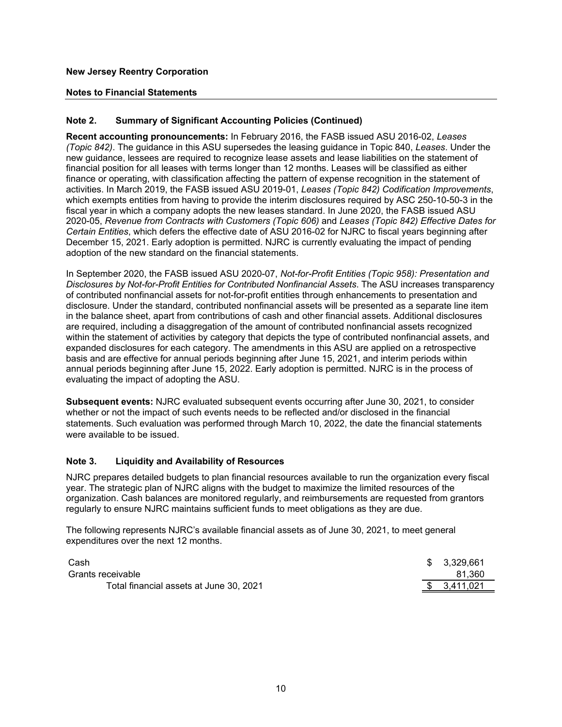#### **Notes to Financial Statements**

#### **Note 2. Summary of Significant Accounting Policies (Continued)**

**Recent accounting pronouncements:** In February 2016, the FASB issued ASU 2016-02, *Leases (Topic 842)*. The guidance in this ASU supersedes the leasing guidance in Topic 840, *Leases*. Under the new guidance, lessees are required to recognize lease assets and lease liabilities on the statement of financial position for all leases with terms longer than 12 months. Leases will be classified as either finance or operating, with classification affecting the pattern of expense recognition in the statement of activities. In March 2019, the FASB issued ASU 2019-01, *Leases (Topic 842) Codification Improvements*, which exempts entities from having to provide the interim disclosures required by ASC 250-10-50-3 in the fiscal year in which a company adopts the new leases standard. In June 2020, the FASB issued ASU 2020-05, *Revenue from Contracts with Customers (Topic 606)* and *Leases (Topic 842) Effective Dates for Certain Entities*, which defers the effective date of ASU 2016-02 for NJRC to fiscal years beginning after December 15, 2021. Early adoption is permitted. NJRC is currently evaluating the impact of pending adoption of the new standard on the financial statements.

In September 2020, the FASB issued ASU 2020-07, *Not-for-Profit Entities (Topic 958): Presentation and Disclosures by Not-for-Profit Entities for Contributed Nonfinancial Assets*. The ASU increases transparency of contributed nonfinancial assets for not-for-profit entities through enhancements to presentation and disclosure. Under the standard, contributed nonfinancial assets will be presented as a separate line item in the balance sheet, apart from contributions of cash and other financial assets. Additional disclosures are required, including a disaggregation of the amount of contributed nonfinancial assets recognized within the statement of activities by category that depicts the type of contributed nonfinancial assets, and expanded disclosures for each category. The amendments in this ASU are applied on a retrospective basis and are effective for annual periods beginning after June 15, 2021, and interim periods within annual periods beginning after June 15, 2022. Early adoption is permitted. NJRC is in the process of evaluating the impact of adopting the ASU.

**Subsequent events:** NJRC evaluated subsequent events occurring after June 30, 2021, to consider whether or not the impact of such events needs to be reflected and/or disclosed in the financial statements. Such evaluation was performed through March 10, 2022, the date the financial statements were available to be issued.

#### **Note 3. Liquidity and Availability of Resources**

NJRC prepares detailed budgets to plan financial resources available to run the organization every fiscal year. The strategic plan of NJRC aligns with the budget to maximize the limited resources of the organization. Cash balances are monitored regularly, and reimbursements are requested from grantors regularly to ensure NJRC maintains sufficient funds to meet obligations as they are due.

The following represents NJRC's available financial assets as of June 30, 2021, to meet general expenditures over the next 12 months.

| Cash                                    | \$ 3.329.661 |
|-----------------------------------------|--------------|
| Grants receivable                       | 81.360       |
| Total financial assets at June 30, 2021 | \$3,411,021  |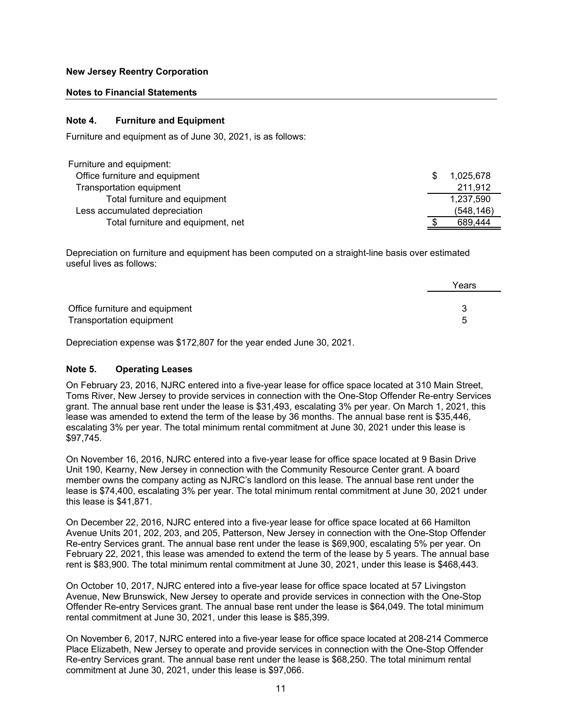#### **Notes to Financial Statements**

#### **Note 4. Furniture and Equipment**

Furniture and equipment as of June 30, 2021, is as follows:

| Furniture and equipment:           |            |
|------------------------------------|------------|
| Office furniture and equipment     | 1,025,678  |
| Transportation equipment           | 211,912    |
| Total furniture and equipment      | 1,237,590  |
| Less accumulated depreciation      | (548, 146) |
| Total furniture and equipment, net | 689,444    |

Depreciation on furniture and equipment has been computed on a straight-line basis over estimated useful lives as follows:

|                                | Years |
|--------------------------------|-------|
|                                |       |
| Office furniture and equipment |       |
| Transportation equipment       | ∽     |

Depreciation expense was \$172,807 for the year ended June 30, 2021.

#### **Note 5. Operating Leases**

On February 23, 2016, NJRC entered into a five-year lease for office space located at 310 Main Street, Toms River, New Jersey to provide services in connection with the One-Stop Offender Re-entry Services grant. The annual base rent under the lease is \$31,493, escalating 3% per year. On March 1, 2021, this lease was amended to extend the term of the lease by 36 months. The annual base rent is \$35,446, escalating 3% per year. The total minimum rental commitment at June 30, 2021 under this lease is \$97,745.

On November 16, 2016, NJRC entered into a five-year lease for office space located at 9 Basin Drive Unit 190, Kearny, New Jersey in connection with the Community Resource Center grant. A board member owns the company acting as NJRC's landlord on this lease. The annual base rent under the lease is \$74,400, escalating 3% per year. The total minimum rental commitment at June 30, 2021 under this lease is \$41,871.

On December 22, 2016, NJRC entered into a five-year lease for office space located at 66 Hamilton Avenue Units 201, 202, 203, and 205, Patterson, New Jersey in connection with the One-Stop Offender Re-entry Services grant. The annual base rent under the lease is \$69,900, escalating 5% per year. On February 22, 2021, this lease was amended to extend the term of the lease by 5 years. The annual base rent is \$83,900. The total minimum rental commitment at June 30, 2021, under this lease is \$468,443.

On October 10, 2017, NJRC entered into a five-year lease for office space located at 57 Livingston Avenue, New Brunswick, New Jersey to operate and provide services in connection with the One-Stop Offender Re-entry Services grant. The annual base rent under the lease is \$64,049. The total minimum rental commitment at June 30, 2021, under this lease is \$85,399.

On November 6, 2017, NJRC entered into a five-year lease for office space located at 208-214 Commerce Place Elizabeth, New Jersey to operate and provide services in connection with the One-Stop Offender Re-entry Services grant. The annual base rent under the lease is \$68,250. The total minimum rental commitment at June 30, 2021, under this lease is \$97,066.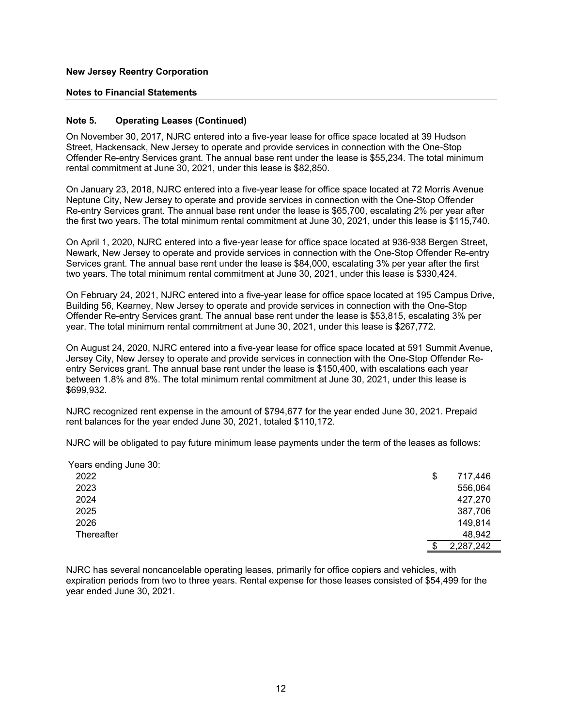#### **Notes to Financial Statements**

#### **Note 5. Operating Leases (Continued)**

On November 30, 2017, NJRC entered into a five-year lease for office space located at 39 Hudson Street, Hackensack, New Jersey to operate and provide services in connection with the One-Stop Offender Re-entry Services grant. The annual base rent under the lease is \$55,234. The total minimum rental commitment at June 30, 2021, under this lease is \$82,850.

On January 23, 2018, NJRC entered into a five-year lease for office space located at 72 Morris Avenue Neptune City, New Jersey to operate and provide services in connection with the One-Stop Offender Re-entry Services grant. The annual base rent under the lease is \$65,700, escalating 2% per year after the first two years. The total minimum rental commitment at June 30, 2021, under this lease is \$115,740.

On April 1, 2020, NJRC entered into a five-year lease for office space located at 936-938 Bergen Street, Newark, New Jersey to operate and provide services in connection with the One-Stop Offender Re-entry Services grant. The annual base rent under the lease is \$84,000, escalating 3% per year after the first two years. The total minimum rental commitment at June 30, 2021, under this lease is \$330,424.

On February 24, 2021, NJRC entered into a five-year lease for office space located at 195 Campus Drive, Building 56, Kearney, New Jersey to operate and provide services in connection with the One-Stop Offender Re-entry Services grant. The annual base rent under the lease is \$53,815, escalating 3% per year. The total minimum rental commitment at June 30, 2021, under this lease is \$267,772.

On August 24, 2020, NJRC entered into a five-year lease for office space located at 591 Summit Avenue, Jersey City, New Jersey to operate and provide services in connection with the One-Stop Offender Reentry Services grant. The annual base rent under the lease is \$150,400, with escalations each year between 1.8% and 8%. The total minimum rental commitment at June 30, 2021, under this lease is \$699,932.

NJRC recognized rent expense in the amount of \$794,677 for the year ended June 30, 2021. Prepaid rent balances for the year ended June 30, 2021, totaled \$110,172.

NJRC will be obligated to pay future minimum lease payments under the term of the leases as follows:

| Years ending June 30: |               |
|-----------------------|---------------|
| 2022                  | \$<br>717,446 |
| 2023                  | 556,064       |
| 2024                  | 427,270       |
| 2025                  | 387,706       |
| 2026                  | 149,814       |
| Thereafter            | 48,942        |
|                       | 2,287,242     |

NJRC has several noncancelable operating leases, primarily for office copiers and vehicles, with expiration periods from two to three years. Rental expense for those leases consisted of \$54,499 for the year ended June 30, 2021.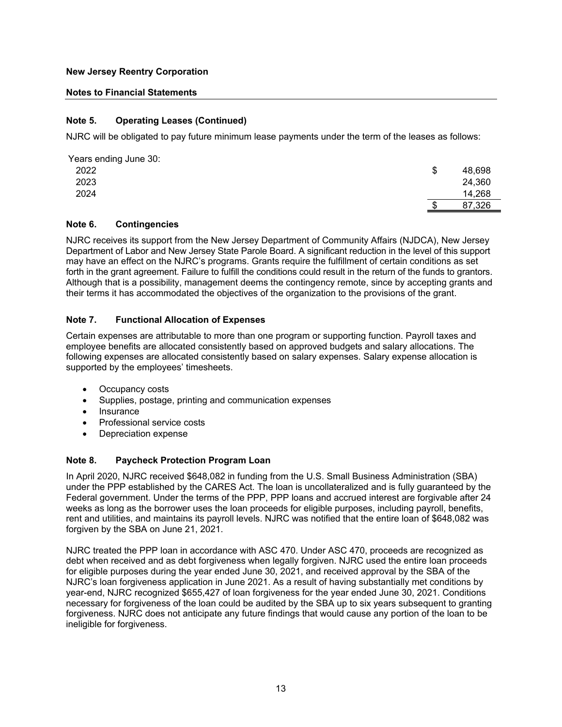#### **Notes to Financial Statements**

#### **Note 5. Operating Leases (Continued)**

NJRC will be obligated to pay future minimum lease payments under the term of the leases as follows:

| Years ending June 30: |              |
|-----------------------|--------------|
| 2022                  | \$<br>48,698 |
| 2023                  | 24,360       |
| 2024                  | 14,268       |
|                       | \$<br>87,326 |

#### **Note 6. Contingencies**

NJRC receives its support from the New Jersey Department of Community Affairs (NJDCA), New Jersey Department of Labor and New Jersey State Parole Board. A significant reduction in the level of this support may have an effect on the NJRC's programs. Grants require the fulfillment of certain conditions as set forth in the grant agreement. Failure to fulfill the conditions could result in the return of the funds to grantors. Although that is a possibility, management deems the contingency remote, since by accepting grants and their terms it has accommodated the objectives of the organization to the provisions of the grant.

#### **Note 7. Functional Allocation of Expenses**

Certain expenses are attributable to more than one program or supporting function. Payroll taxes and employee benefits are allocated consistently based on approved budgets and salary allocations. The following expenses are allocated consistently based on salary expenses. Salary expense allocation is supported by the employees' timesheets.

- Occupancy costs
- Supplies, postage, printing and communication expenses
- Insurance
- Professional service costs
- Depreciation expense

#### **Note 8. Paycheck Protection Program Loan**

In April 2020, NJRC received \$648,082 in funding from the U.S. Small Business Administration (SBA) under the PPP established by the CARES Act. The loan is uncollateralized and is fully guaranteed by the Federal government. Under the terms of the PPP, PPP loans and accrued interest are forgivable after 24 weeks as long as the borrower uses the loan proceeds for eligible purposes, including payroll, benefits, rent and utilities, and maintains its payroll levels. NJRC was notified that the entire loan of \$648,082 was forgiven by the SBA on June 21, 2021.

NJRC treated the PPP loan in accordance with ASC 470. Under ASC 470, proceeds are recognized as debt when received and as debt forgiveness when legally forgiven. NJRC used the entire loan proceeds for eligible purposes during the year ended June 30, 2021, and received approval by the SBA of the NJRC's loan forgiveness application in June 2021. As a result of having substantially met conditions by year-end, NJRC recognized \$655,427 of loan forgiveness for the year ended June 30, 2021. Conditions necessary for forgiveness of the loan could be audited by the SBA up to six years subsequent to granting forgiveness. NJRC does not anticipate any future findings that would cause any portion of the loan to be ineligible for forgiveness.